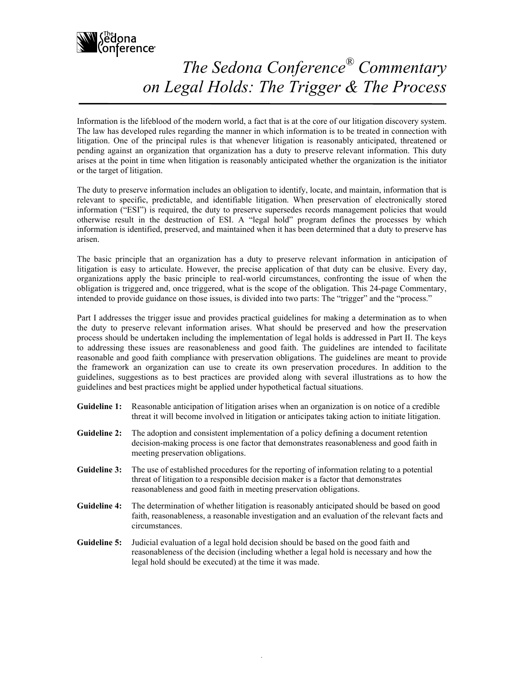

## *The Sedona Conference® Commentary on Legal Holds: The Trigger & The Process*

Information is the lifeblood of the modern world, a fact that is at the core of our litigation discovery system. The law has developed rules regarding the manner in which information is to be treated in connection with litigation. One of the principal rules is that whenever litigation is reasonably anticipated, threatened or pending against an organization that organization has a duty to preserve relevant information. This duty arises at the point in time when litigation is reasonably anticipated whether the organization is the initiator or the target of litigation.

The duty to preserve information includes an obligation to identify, locate, and maintain, information that is relevant to specific, predictable, and identifiable litigation. When preservation of electronically stored information ("ESI") is required, the duty to preserve supersedes records management policies that would otherwise result in the destruction of ESI. A "legal hold" program defines the processes by which information is identified, preserved, and maintained when it has been determined that a duty to preserve has arisen.

The basic principle that an organization has a duty to preserve relevant information in anticipation of litigation is easy to articulate. However, the precise application of that duty can be elusive. Every day, organizations apply the basic principle to real-world circumstances, confronting the issue of when the obligation is triggered and, once triggered, what is the scope of the obligation. This 24-page Commentary, intended to provide guidance on those issues, is divided into two parts: The "trigger" and the "process."

Part I addresses the trigger issue and provides practical guidelines for making a determination as to when the duty to preserve relevant information arises. What should be preserved and how the preservation process should be undertaken including the implementation of legal holds is addressed in Part II. The keys to addressing these issues are reasonableness and good faith. The guidelines are intended to facilitate reasonable and good faith compliance with preservation obligations. The guidelines are meant to provide the framework an organization can use to create its own preservation procedures. In addition to the guidelines, suggestions as to best practices are provided along with several illustrations as to how the guidelines and best practices might be applied under hypothetical factual situations.

| <b>Guideline 1:</b> Reasonable anticipation of litigation arises when an organization is on notice of a credible |
|------------------------------------------------------------------------------------------------------------------|
| threat it will become involved in litigation or anticipates taking action to initiate litigation.                |

- **Guideline 2:** The adoption and consistent implementation of a policy defining a document retention decision-making process is one factor that demonstrates reasonableness and good faith in meeting preservation obligations.
- **Guideline 3:** The use of established procedures for the reporting of information relating to a potential threat of litigation to a responsible decision maker is a factor that demonstrates reasonableness and good faith in meeting preservation obligations.
- **Guideline 4:** The determination of whether litigation is reasonably anticipated should be based on good faith, reasonableness, a reasonable investigation and an evaluation of the relevant facts and circumstances.
- **Guideline 5:** Judicial evaluation of a legal hold decision should be based on the good faith and reasonableness of the decision (including whether a legal hold is necessary and how the legal hold should be executed) at the time it was made.